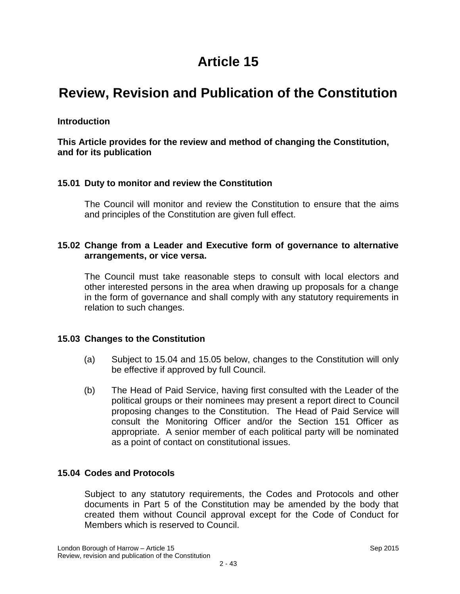# **Article 15**

## **Review, Revision and Publication of the Constitution**

## **Introduction**

**This Article provides for the review and method of changing the Constitution, and for its publication**

## **15.01 Duty to monitor and review the Constitution**

The Council will monitor and review the Constitution to ensure that the aims and principles of the Constitution are given full effect.

#### **15.02 Change from a Leader and Executive form of governance to alternative arrangements, or vice versa.**

The Council must take reasonable steps to consult with local electors and other interested persons in the area when drawing up proposals for a change in the form of governance and shall comply with any statutory requirements in relation to such changes.

## **15.03 Changes to the Constitution**

- (a) Subject to 15.04 and 15.05 below, changes to the Constitution will only be effective if approved by full Council.
- (b) The Head of Paid Service, having first consulted with the Leader of the political groups or their nominees may present a report direct to Council proposing changes to the Constitution. The Head of Paid Service will consult the Monitoring Officer and/or the Section 151 Officer as appropriate. A senior member of each political party will be nominated as a point of contact on constitutional issues.

## **15.04 Codes and Protocols**

Subject to any statutory requirements, the Codes and Protocols and other documents in Part 5 of the Constitution may be amended by the body that created them without Council approval except for the Code of Conduct for Members which is reserved to Council.